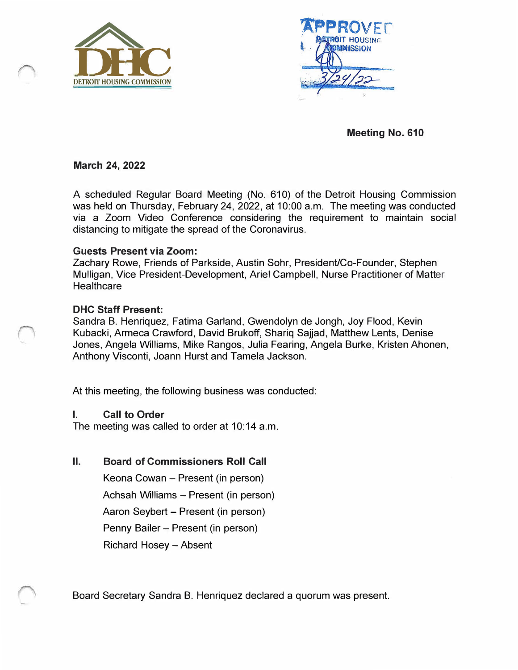



**Meeting No. 610** 

**March 24, 2022** 

A scheduled Regular Board Meeting (No. 610) of the Detroit Housing Commission was held on Thursday, February 24, 2022, at 10:00 a.m. The meeting was conducted via a Zoom Video Conference considering the requirement to maintain social distancing to mitigate the spread of the Coronavirus.

### **Guests Present via Zoom:**

Zachary Rowe, Friends of Parkside, Austin Sohr, President/Co-Founder, Stephen Mulligan, Vice President-Development, Ariel Campbell, Nurse Practitioner of Matter **Healthcare** 

# **DHC Staff Present:**

Sandra B. Henriquez, Fatima Garland, Gwendolyn de Jongh, Joy Flood, Kevin Kubacki, Armeca Crawford, David Brukoff, Shariq Sajjad, Matthew Lents, Denise Jones, Angela Williams, Mike Rangos, Julia Fearing, Angela Burke, Kristen Ahonen, Anthony Visconti, Joann Hurst and Tamela Jackson.

At this meeting, the following business was conducted:

# **I. Call to Order**

The meeting was called to order at 10:14 a.m.

**II.Board of Commissioners Roll Call**

> Keona Cowan – Present (in person) Achsah Williams - Present (in person) Aaron Seybert - Present (in person) Penny Bailer - Present (in person) Richard Hosey - Absent

Board Secretary Sandra B. Henriquez declared a quorum was present.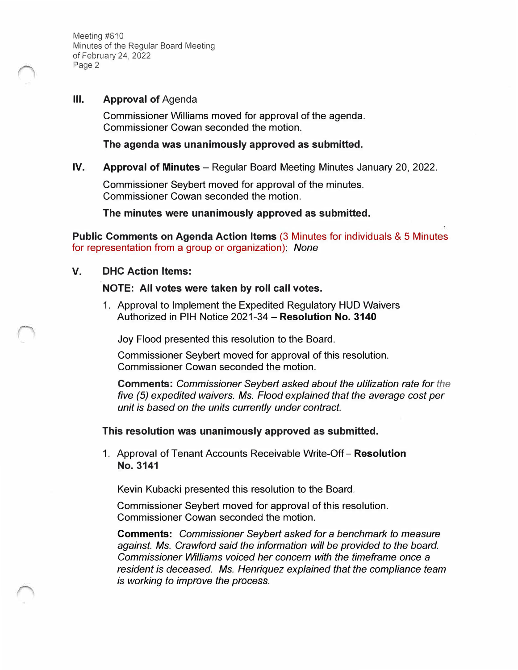Meeting #610 Minutes of the Regular Board Meeting of February 24, 2022 Page 2

# **III.** Approval of Agenda

Commissioner Williams moved for approval of the agenda. Commissioner Cowan seconded the motion.

#### **The agenda was unanimously approved as submitted.**

### **IV. Approval of Minutes** – Regular Board Meeting Minutes January 20, 2022.

Commissioner Seybert moved for approval of the minutes. Commissioner Cowan seconded the motion.

**The minutes were unanimously approved as submitted.**

**Public Comments on Agenda Action Items** (3 Minutes for individuals & 5 Minutes for representation from a group or organization): *None* 

# **V. DHC Action Items:**

### **NOTE: All votes were taken by roll call votes.**

1. Approval to Implement the Expedited Regulatory HUD Waivers Authorized in PIH Notice 2021-34 - **Resolution No. 3140**

Joy Flood presented this resolution to the Board.

Commissioner Seybert moved for approval of this resolution. Commissioner Cowan seconded the motion.

**Comments:** *Commissioner Seybert asked about the utilization rate for the five (5) expedited waivers. Ms. Flood explained that the average cost per unit is based on the units currently under contract.*

**This resolution was unanimously approved as submitted.** 

1. Approval of Tenant Accounts Receivable Write-Off- **Resolution No. 3141**

Kevin Kubacki presented this resolution to the Board.

Commissioner Seybert moved for approval of this resolution. Commissioner Cowan seconded the motion.

**Comments:** *Commissioner Seybert asked for a benchmark to measure against. Ms. Crawford said the information will be provided to the board. Commissioner Williams voiced her concern with the timeframe once a resident is deceased. Ms. Henriquez explained that the compliance team is working to improve the process.*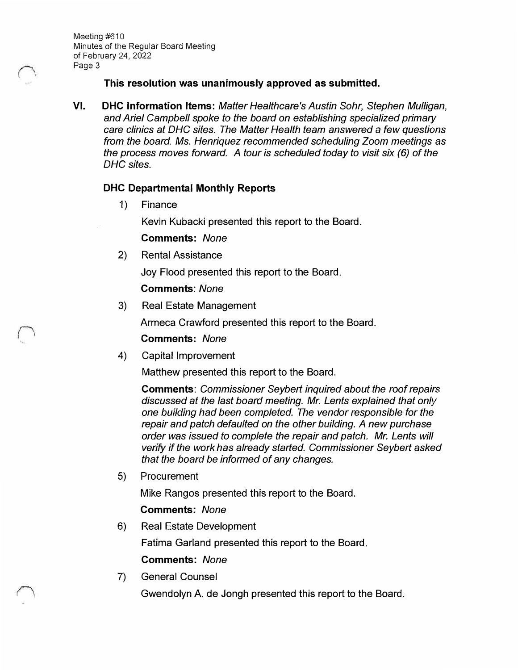Meeting #610 Minutes of the Regular Board Meeting of February 24, 2022 Page 3

# **This resolution was unanimously approved as submitted.**

**VI. DHC Information Items:** *Matter Healthcare's Austin Sohr, Stephen Mulligan, and Ariel Campbell spoke to the board on establishing specialized primary care clinics at DHC sites. The Matter Health team answered* a *few questions from the board. Ms. Henriquez recommended scheduling Zoom meetings as the process moves forward. A tour is scheduled today to visit six (6) of the DHC sites.*

# **DHC Departmental Monthly Reports**

1) Finance

Kevin Kubacki presented this report to the Board.

**Comments:** *None*

2) Rental Assistance

Joy Flood presented this report to the Board.

**Comments:** *None*

3) Real Estate Management

Armeca Crawford presented this report to the Board.

**Comments:** *None*

4) Capital Improvement

Matthew presented this report to the Board.

**Comments:** *Commissioner Seybert inquired about the roof repairs discussed at the last board meeting. Mr. Lents explained that only one building had been completed. The vendor responsible for the repair and patch defaulted on the other building. A new purchase order was issued to complete the repair and patch. Mr. Lents will verify if the work has already started. Commissioner Seybert asked that the board be informed of any changes.*

5) Procurement

Mike Rangos presented this report to the Board.

**Comments:** *None*

6) Real Estate Development

Fatima Garland presented this report to the Board.

**Comments:** *None*

7) General Counsel

Gwendolyn A, de Jongh presented this report to the Board.